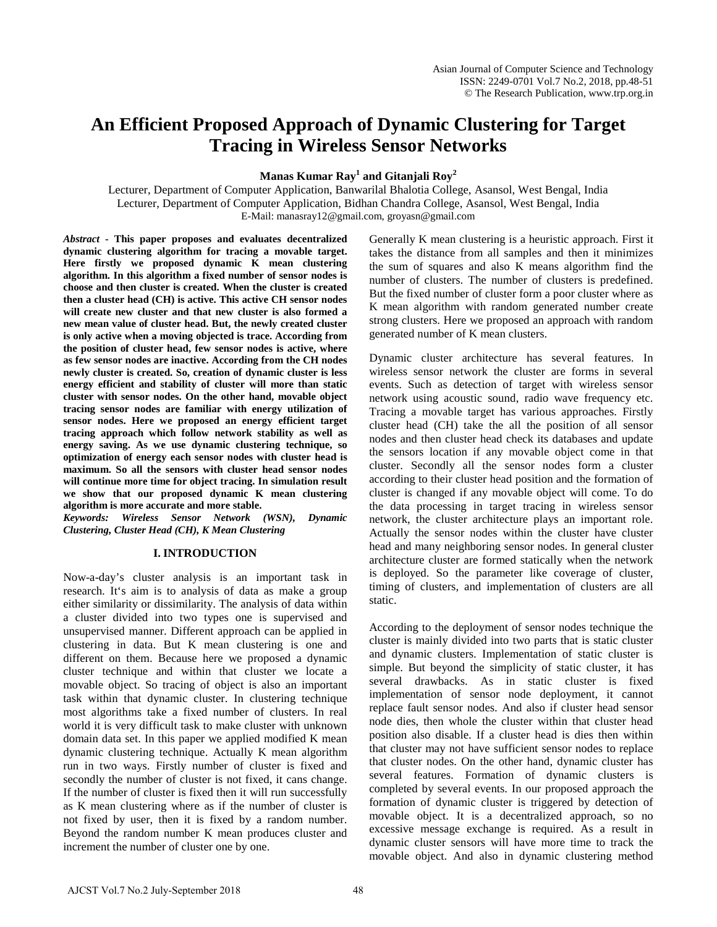# **An Efficient Proposed Approach of Dynamic Clustering for Target Tracing in Wireless Sensor Networks**

**Manas Kumar Ray<sup>1</sup> and Gitanjali Roy<sup>2</sup>** 

Lecturer, Department of Computer Application, Banwarilal Bhalotia College, Asansol, West Bengal, India Lecturer, Department of Computer Application, Bidhan Chandra College, Asansol, West Bengal, India E-Mail: manasray12@gmail.com, groyasn@gmail.com

*Abstract* **- This paper proposes and evaluates decentralized dynamic clustering algorithm for tracing a movable target. Here firstly we proposed dynamic K mean clustering algorithm. In this algorithm a fixed number of sensor nodes is choose and then cluster is created. When the cluster is created then a cluster head (CH) is active. This active CH sensor nodes will create new cluster and that new cluster is also formed a new mean value of cluster head. But, the newly created cluster is only active when a moving objected is trace. According from the position of cluster head, few sensor nodes is active, where as few sensor nodes are inactive. According from the CH nodes newly cluster is created. So, creation of dynamic cluster is less energy efficient and stability of cluster will more than static cluster with sensor nodes. On the other hand, movable object tracing sensor nodes are familiar with energy utilization of sensor nodes. Here we proposed an energy efficient target tracing approach which follow network stability as well as energy saving. As we use dynamic clustering technique, so optimization of energy each sensor nodes with cluster head is maximum. So all the sensors with cluster head sensor nodes will continue more time for object tracing. In simulation result we show that our proposed dynamic K mean clustering algorithm is more accurate and more stable.**

*Keywords: Wireless Sensor Network (WSN), Dynamic Clustering, Cluster Head (CH), K Mean Clustering*

## **I. INTRODUCTION**

Now-a-day's cluster analysis is an important task in research. It's aim is to analysis of data as make a group either similarity or dissimilarity. The analysis of data within a cluster divided into two types one is supervised and unsupervised manner. Different approach can be applied in clustering in data. But K mean clustering is one and different on them. Because here we proposed a dynamic cluster technique and within that cluster we locate a movable object. So tracing of object is also an important task within that dynamic cluster. In clustering technique most algorithms take a fixed number of clusters. In real world it is very difficult task to make cluster with unknown domain data set. In this paper we applied modified K mean dynamic clustering technique. Actually K mean algorithm run in two ways. Firstly number of cluster is fixed and secondly the number of cluster is not fixed, it cans change. If the number of cluster is fixed then it will run successfully as K mean clustering where as if the number of cluster is not fixed by user, then it is fixed by a random number. Beyond the random number K mean produces cluster and increment the number of cluster one by one.

Generally K mean clustering is a heuristic approach. First it takes the distance from all samples and then it minimizes the sum of squares and also K means algorithm find the number of clusters. The number of clusters is predefined. But the fixed number of cluster form a poor cluster where as K mean algorithm with random generated number create strong clusters. Here we proposed an approach with random generated number of K mean clusters.

Dynamic cluster architecture has several features. In wireless sensor network the cluster are forms in several events. Such as detection of target with wireless sensor network using acoustic sound, radio wave frequency etc. Tracing a movable target has various approaches. Firstly cluster head (CH) take the all the position of all sensor nodes and then cluster head check its databases and update the sensors location if any movable object come in that cluster. Secondly all the sensor nodes form a cluster according to their cluster head position and the formation of cluster is changed if any movable object will come. To do the data processing in target tracing in wireless sensor network, the cluster architecture plays an important role. Actually the sensor nodes within the cluster have cluster head and many neighboring sensor nodes. In general cluster architecture cluster are formed statically when the network is deployed. So the parameter like coverage of cluster, timing of clusters, and implementation of clusters are all static.

According to the deployment of sensor nodes technique the cluster is mainly divided into two parts that is static cluster and dynamic clusters. Implementation of static cluster is simple. But beyond the simplicity of static cluster, it has several drawbacks. As in static cluster is fixed implementation of sensor node deployment, it cannot replace fault sensor nodes. And also if cluster head sensor node dies, then whole the cluster within that cluster head position also disable. If a cluster head is dies then within that cluster may not have sufficient sensor nodes to replace that cluster nodes. On the other hand, dynamic cluster has several features. Formation of dynamic clusters is completed by several events. In our proposed approach the formation of dynamic cluster is triggered by detection of movable object. It is a decentralized approach, so no excessive message exchange is required. As a result in dynamic cluster sensors will have more time to track the movable object. And also in dynamic clustering method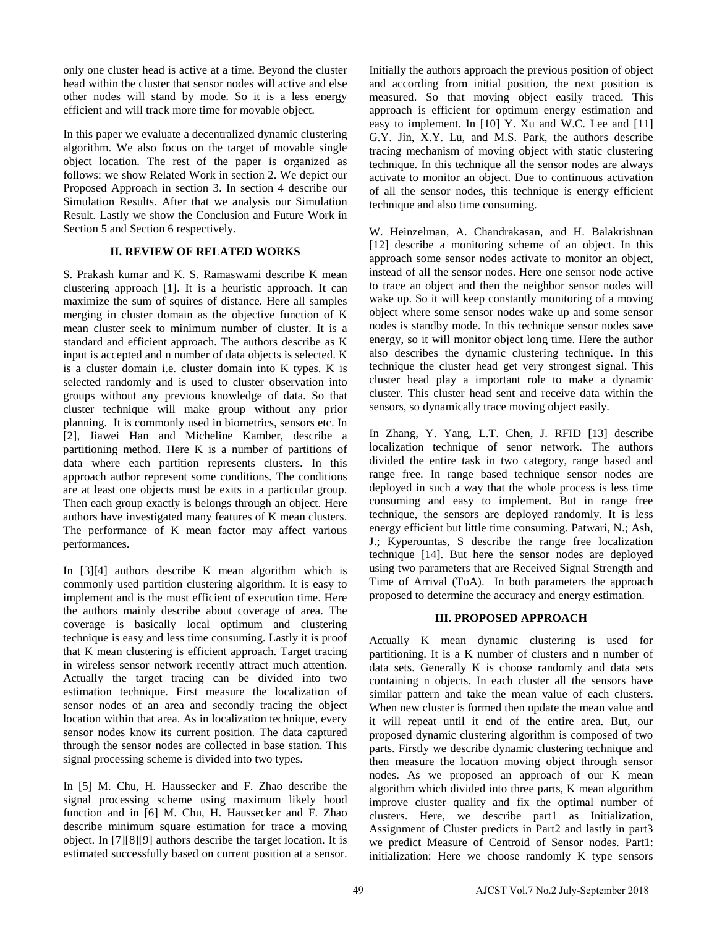only one cluster head is active at a time. Beyond the cluster head within the cluster that sensor nodes will active and else other nodes will stand by mode. So it is a less energy efficient and will track more time for movable object.

In this paper we evaluate a decentralized dynamic clustering algorithm. We also focus on the target of movable single object location. The rest of the paper is organized as follows: we show Related Work in section 2. We depict our Proposed Approach in section 3. In section 4 describe our Simulation Results. After that we analysis our Simulation Result. Lastly we show the Conclusion and Future Work in Section 5 and Section 6 respectively.

## **II. REVIEW OF RELATED WORKS**

S. Prakash kumar and K. S. Ramaswami describe K mean clustering approach [1]. It is a heuristic approach. It can maximize the sum of squires of distance. Here all samples merging in cluster domain as the objective function of K mean cluster seek to minimum number of cluster. It is a standard and efficient approach. The authors describe as K input is accepted and n number of data objects is selected. K is a cluster domain i.e. cluster domain into K types. K is selected randomly and is used to cluster observation into groups without any previous knowledge of data. So that cluster technique will make group without any prior planning. It is commonly used in biometrics, sensors etc. In [2], Jiawei Han and Micheline Kamber, describe a partitioning method. Here K is a number of partitions of data where each partition represents clusters. In this approach author represent some conditions. The conditions are at least one objects must be exits in a particular group. Then each group exactly is belongs through an object. Here authors have investigated many features of K mean clusters. The performance of K mean factor may affect various performances.

In [3][4] authors describe K mean algorithm which is commonly used partition clustering algorithm. It is easy to implement and is the most efficient of execution time. Here the authors mainly describe about coverage of area. The coverage is basically local optimum and clustering technique is easy and less time consuming. Lastly it is proof that K mean clustering is efficient approach. Target tracing in wireless sensor network recently attract much attention. Actually the target tracing can be divided into two estimation technique. First measure the localization of sensor nodes of an area and secondly tracing the object location within that area. As in localization technique, every sensor nodes know its current position. The data captured through the sensor nodes are collected in base station. This signal processing scheme is divided into two types.

In [5] M. Chu, H. Haussecker and F. Zhao describe the signal processing scheme using maximum likely hood function and in [6] M. Chu, H. Haussecker and F. Zhao describe minimum square estimation for trace a moving object. In [7][8][9] authors describe the target location. It is estimated successfully based on current position at a sensor. Initially the authors approach the previous position of object and according from initial position, the next position is measured. So that moving object easily traced. This approach is efficient for optimum energy estimation and easy to implement. In [10] Y. Xu and W.C. Lee and [11] G.Y. Jin, X.Y. Lu, and M.S. Park, the authors describe tracing mechanism of moving object with static clustering technique. In this technique all the sensor nodes are always activate to monitor an object. Due to continuous activation of all the sensor nodes, this technique is energy efficient technique and also time consuming.

W. Heinzelman, A. Chandrakasan, and H. Balakrishnan [12] describe a monitoring scheme of an object. In this approach some sensor nodes activate to monitor an object, instead of all the sensor nodes. Here one sensor node active to trace an object and then the neighbor sensor nodes will wake up. So it will keep constantly monitoring of a moving object where some sensor nodes wake up and some sensor nodes is standby mode. In this technique sensor nodes save energy, so it will monitor object long time. Here the author also describes the dynamic clustering technique. In this technique the cluster head get very strongest signal. This cluster head play a important role to make a dynamic cluster. This cluster head sent and receive data within the sensors, so dynamically trace moving object easily.

In Zhang, Y. Yang, L.T. Chen, J. RFID [13] describe localization technique of senor network. The authors divided the entire task in two category, range based and range free. In range based technique sensor nodes are deployed in such a way that the whole process is less time consuming and easy to implement. But in range free technique, the sensors are deployed randomly. It is less energy efficient but little time consuming. Patwari, N.; Ash, J.; Kyperountas, S describe the range free localization technique [14]. But here the sensor nodes are deployed using two parameters that are Received Signal Strength and Time of Arrival (ToA). In both parameters the approach proposed to determine the accuracy and energy estimation.

## **III. PROPOSED APPROACH**

Actually K mean dynamic clustering is used for partitioning. It is a K number of clusters and n number of data sets. Generally K is choose randomly and data sets containing n objects. In each cluster all the sensors have similar pattern and take the mean value of each clusters. When new cluster is formed then update the mean value and it will repeat until it end of the entire area. But, our proposed dynamic clustering algorithm is composed of two parts. Firstly we describe dynamic clustering technique and then measure the location moving object through sensor nodes. As we proposed an approach of our K mean algorithm which divided into three parts, K mean algorithm improve cluster quality and fix the optimal number of clusters. Here, we describe part1 as Initialization, Assignment of Cluster predicts in Part2 and lastly in part3 we predict Measure of Centroid of Sensor nodes. Part1: initialization: Here we choose randomly K type sensors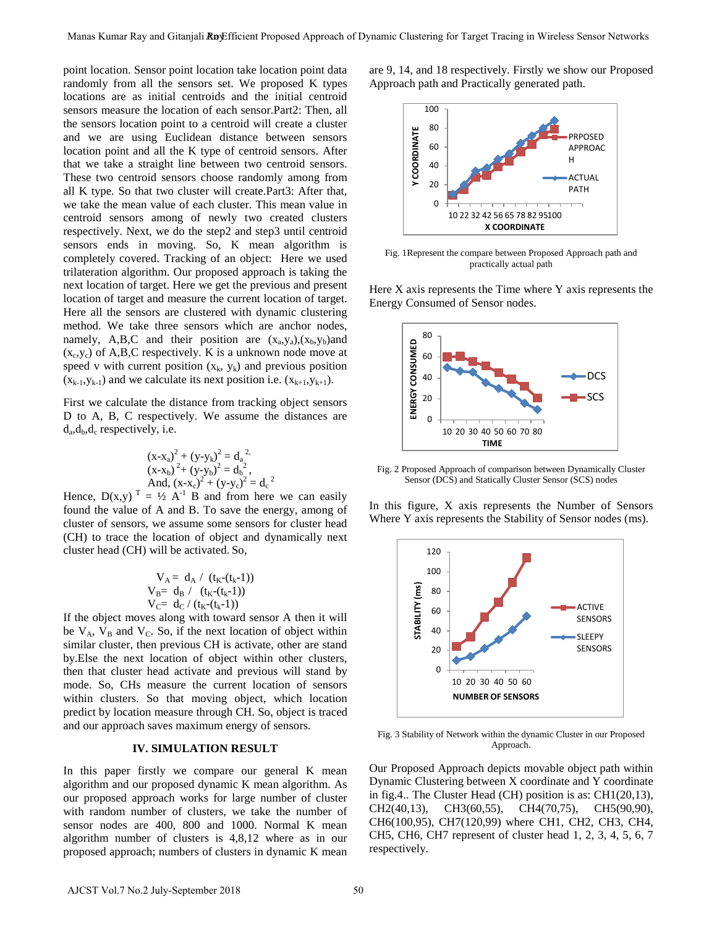point location. Sensor point location take location point data randomly from all the sensors set. We proposed K types locations are as initial centroids and the initial centroid sensors measure the location of each sensor.Part2: Then, all the sensors location point to a centroid will create a cluster and we are using Euclidean distance between sensors location point and all the K type of centroid sensors. After that we take a straight line between two centroid sensors. These two centroid sensors choose randomly among from all K type. So that two cluster will create.Part3: After that, we take the mean value of each cluster. This mean value in centroid sensors among of newly two created clusters respectively. Next, we do the step2 and step3 until centroid sensors ends in moving. So, K mean algorithm is completely covered. Tracking of an object: Here we used trilateration algorithm. Our proposed approach is taking the next location of target. Here we get the previous and present location of target and measure the current location of target. Here all the sensors are clustered with dynamic clustering method. We take three sensors which are anchor nodes, namely, A,B,C and their position are  $(x_a, y_a)$ ,  $(x_b, y_b)$  and  $(x_c, y_c)$  of A,B,C respectively. K is a unknown node move at speed v with current position  $(x_k, y_k)$  and previous position  $(x_{k-1},y_{k-1})$  and we calculate its next position i.e.  $(x_{k+1},y_{k+1})$ . Music must be the couple of the state of the state of the state of the state of the state of the state of the state of the state of the state of the state of the state of the state of the state of the state of the state o

First we calculate the distance from tracking object sensors D to A, B, C respectively. We assume the distances are  $d_a, d_b, d_c$  respectively, i.e.

$$
\begin{array}{l} \left( x \hspace{-0.02cm} -\hspace{-0.02cm} x_{a} \right)^{2} + \left( y \hspace{-0.02cm} -\hspace{-0.02cm} y_{k} \right)^{2} = d_{a}^{\;\; 2}, \\ \left( x \hspace{-0.02cm} -\hspace{-0.02cm} x_{b} \right)^{2} \hspace{-0.02cm} + \left( y \hspace{-0.02cm} -\hspace{-0.02cm} y_{b} \right)^{2} = d_{b}^{\;\; 2}, \\ \textup{And,}\ \left( x \hspace{-0.02cm} -\hspace{-0.02cm} x_{c} \right)^{2} \hspace{-0.02cm} + \left( y \hspace{-0.02cm} -\hspace{-0.02cm} y_{c} \right)^{2} = d_{c}^{\;\; 2} \end{array}
$$

Hence,  $D(x,y)^T = \frac{1}{2} A^{-1} B$  and from here we can easily found the value of A and B. To save the energy, among of cluster of sensors, we assume some sensors for cluster head (CH) to trace the location of object and dynamically next cluster head (CH) will be activated. So,

$$
V_A = d_A / (t_K - (t_k - 1))
$$
  
\n
$$
V_B = d_B / (t_K - (t_k - 1))
$$
  
\n
$$
V_C = d_C / (t_K - (t_k - 1))
$$

If the object moves along with toward sensor A then it will be  $V_A$ ,  $V_B$  and  $V_C$ . So, if the next location of object within similar cluster, then previous CH is activate, other are stand by.Else the next location of object within other clusters, then that cluster head activate and previous will stand by mode. So, CHs measure the current location of sensors within clusters. So that moving object, which location predict by location measure through CH. So, object is traced and our approach saves maximum energy of sensors.

#### **IV. SIMULATION RESULT**

In this paper firstly we compare our general K mean algorithm and our proposed dynamic K mean algorithm. As our proposed approach works for large number of cluster with random number of clusters, we take the number of sensor nodes are 400, 800 and 1000. Normal K mean algorithm number of clusters is 4,8,12 where as in our proposed approach; numbers of clusters in dynamic K mean are 9, 14, and 18 respectively. Firstly we show our Proposed Approach path and Practically generated path.



Fig. 1Represent the compare between Proposed Approach path and practically actual path

Here X axis represents the Time where Y axis represents the Energy Consumed of Sensor nodes.



Fig. 2 Proposed Approach of comparison between Dynamically Cluster Sensor (DCS) and Statically Cluster Sensor (SCS) nodes

In this figure, X axis represents the Number of Sensors Where Y axis represents the Stability of Sensor nodes (ms).



Fig. 3 Stability of Network within the dynamic Cluster in our Proposed Approach.

Our Proposed Approach depicts movable object path within Dynamic Clustering between X coordinate and Y coordinate in fig.4.. The Cluster Head (CH) position is as: CH1(20,13), CH2(40,13), CH3(60,55), CH4(70,75), CH5(90,90), CH6(100,95), CH7(120,99) where CH1, CH2, CH3, CH4, CH5, CH6, CH7 represent of cluster head 1, 2, 3, 4, 5, 6, 7 respectively.